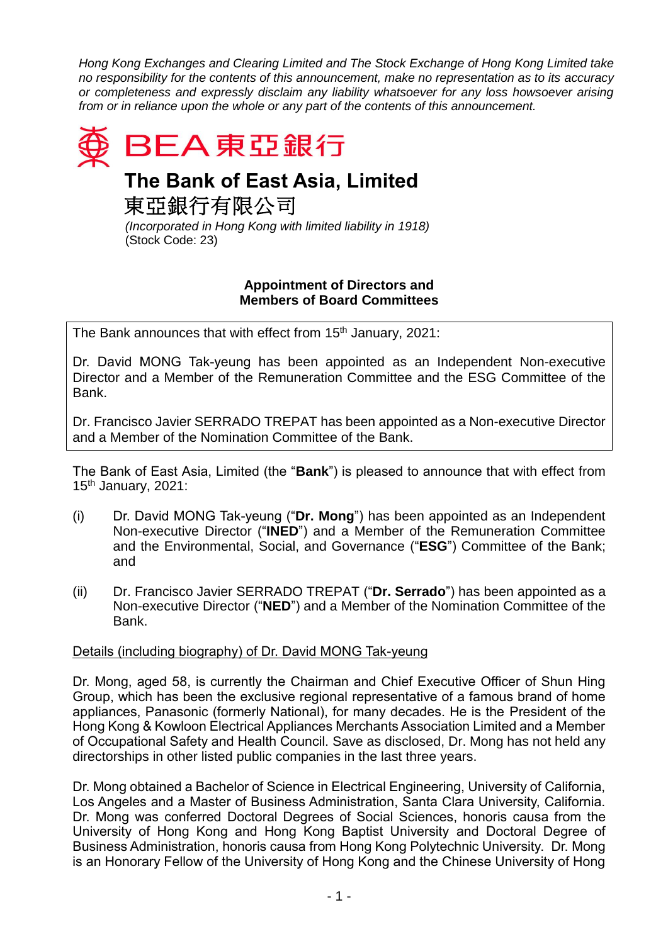*Hong Kong Exchanges and Clearing Limited and The Stock Exchange of Hong Kong Limited take no responsibility for the contents of this announcement, make no representation as to its accuracy or completeness and expressly disclaim any liability whatsoever for any loss howsoever arising from or in reliance upon the whole or any part of the contents of this announcement.*



## **The Bank of East Asia, Limited**

東亞銀行有限公司

*(Incorporated in Hong Kong with limited liability in 1918)* (Stock Code: 23)

## **Appointment of Directors and Members of Board Committees**

The Bank announces that with effect from 15<sup>th</sup> January, 2021:

Dr. David MONG Tak-yeung has been appointed as an Independent Non-executive Director and a Member of the Remuneration Committee and the ESG Committee of the Bank.

Dr. Francisco Javier SERRADO TREPAT has been appointed as a Non-executive Director and a Member of the Nomination Committee of the Bank.

The Bank of East Asia, Limited (the "**Bank**") is pleased to announce that with effect from  $15<sup>th</sup>$  January, 2021:

- (i) Dr. David MONG Tak-yeung ("**Dr. Mong**") has been appointed as an Independent Non-executive Director ("**INED**") and a Member of the Remuneration Committee and the Environmental, Social, and Governance ("**ESG**") Committee of the Bank; and
- (ii) Dr. Francisco Javier SERRADO TREPAT ("**Dr. Serrado**") has been appointed as a Non-executive Director ("**NED**") and a Member of the Nomination Committee of the Bank.

## Details (including biography) of Dr. David MONG Tak-yeung

Dr. Mong, aged 58, is currently the Chairman and Chief Executive Officer of Shun Hing Group, which has been the exclusive regional representative of a famous brand of home appliances, Panasonic (formerly National), for many decades. He is the President of the Hong Kong & Kowloon Electrical Appliances Merchants Association Limited and a Member of Occupational Safety and Health Council. Save as disclosed, Dr. Mong has not held any directorships in other listed public companies in the last three years.

Dr. Mong obtained a Bachelor of Science in Electrical Engineering, University of California, Los Angeles and a Master of Business Administration, Santa Clara University, California. Dr. Mong was conferred Doctoral Degrees of Social Sciences, honoris causa from the University of Hong Kong and Hong Kong Baptist University and Doctoral Degree of Business Administration, honoris causa from Hong Kong Polytechnic University. Dr. Mong is an Honorary Fellow of the University of Hong Kong and the Chinese University of Hong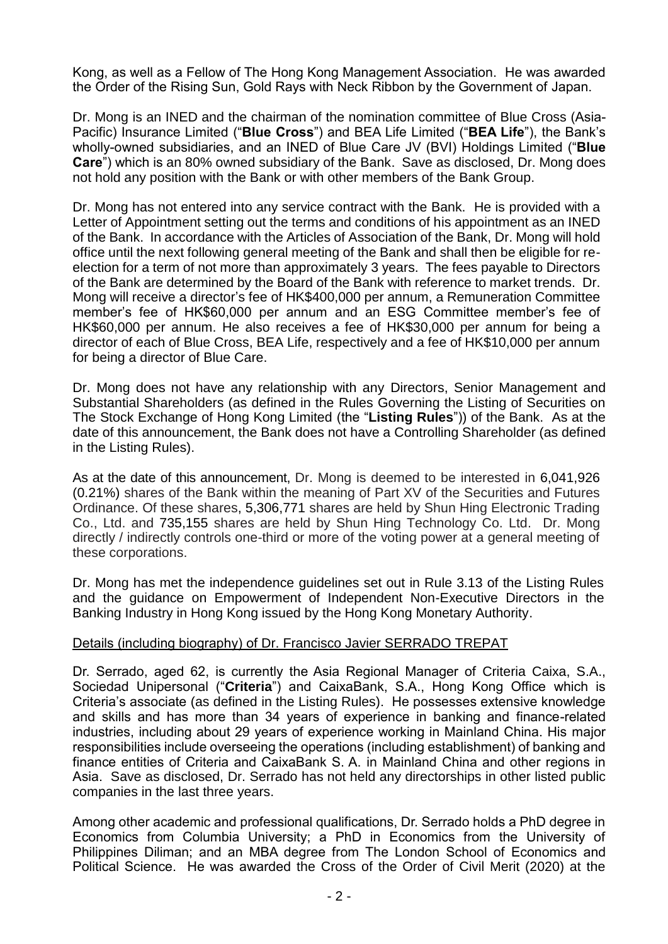Kong, as well as a Fellow of The Hong Kong Management Association. He was awarded the Order of the Rising Sun, Gold Rays with Neck Ribbon by the Government of Japan.

Dr. Mong is an INED and the chairman of the nomination committee of Blue Cross (Asia-Pacific) Insurance Limited ("**Blue Cross**") and BEA Life Limited ("**BEA Life**"), the Bank's wholly-owned subsidiaries, and an INED of Blue Care JV (BVI) Holdings Limited ("**Blue Care**") which is an 80% owned subsidiary of the Bank. Save as disclosed, Dr. Mong does not hold any position with the Bank or with other members of the Bank Group.

Dr. Mong has not entered into any service contract with the Bank. He is provided with a Letter of Appointment setting out the terms and conditions of his appointment as an INED of the Bank. In accordance with the Articles of Association of the Bank, Dr. Mong will hold office until the next following general meeting of the Bank and shall then be eligible for reelection for a term of not more than approximately 3 years. The fees payable to Directors of the Bank are determined by the Board of the Bank with reference to market trends. Dr. Mong will receive a director's fee of HK\$400,000 per annum, a Remuneration Committee member's fee of HK\$60,000 per annum and an ESG Committee member's fee of HK\$60,000 per annum. He also receives a fee of HK\$30,000 per annum for being a director of each of Blue Cross, BEA Life, respectively and a fee of HK\$10,000 per annum for being a director of Blue Care.

Dr. Mong does not have any relationship with any Directors, Senior Management and Substantial Shareholders (as defined in the Rules Governing the Listing of Securities on The Stock Exchange of Hong Kong Limited (the "**Listing Rules**")) of the Bank. As at the date of this announcement, the Bank does not have a Controlling Shareholder (as defined in the Listing Rules).

As at the date of this announcement, Dr. Mong is deemed to be interested in 6,041,926 (0.21%) shares of the Bank within the meaning of Part XV of the Securities and Futures Ordinance. Of these shares, 5,306,771 shares are held by Shun Hing Electronic Trading Co., Ltd. and 735,155 shares are held by Shun Hing Technology Co. Ltd. Dr. Mong directly / indirectly controls one-third or more of the voting power at a general meeting of these corporations.

Dr. Mong has met the independence guidelines set out in Rule 3.13 of the Listing Rules and the guidance on Empowerment of Independent Non-Executive Directors in the Banking Industry in Hong Kong issued by the Hong Kong Monetary Authority.

## Details (including biography) of Dr. Francisco Javier SERRADO TREPAT

Dr. Serrado, aged 62, is currently the Asia Regional Manager of Criteria Caixa, S.A., Sociedad Unipersonal ("**Criteria**") and CaixaBank, S.A., Hong Kong Office which is Criteria's associate (as defined in the Listing Rules). He possesses extensive knowledge and skills and has more than 34 years of experience in banking and finance-related industries, including about 29 years of experience working in Mainland China. His major responsibilities include overseeing the operations (including establishment) of banking and finance entities of Criteria and CaixaBank S. A. in Mainland China and other regions in Asia. Save as disclosed, Dr. Serrado has not held any directorships in other listed public companies in the last three years.

Among other academic and professional qualifications, Dr. Serrado holds a PhD degree in Economics from Columbia University; a PhD in Economics from the University of Philippines Diliman; and an MBA degree from The London School of Economics and Political Science. He was awarded the Cross of the Order of Civil Merit (2020) at the